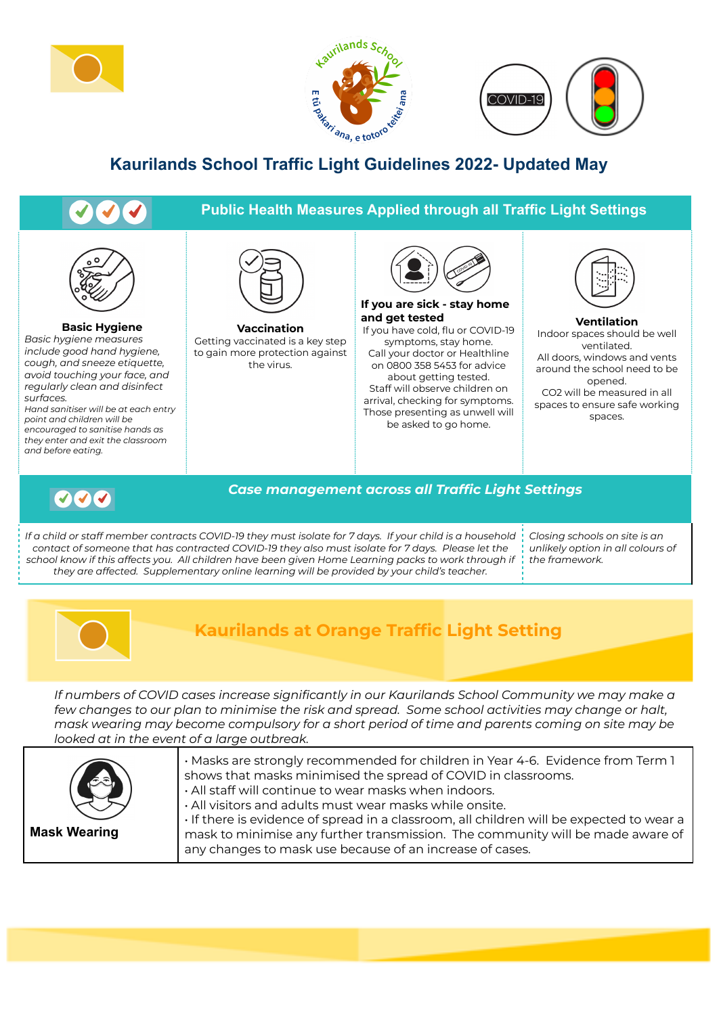





## **Kaurilands School Traffic Light Guidelines 2022- Updated May**

## **Public Health Measures Applied through all Traffic Light Settings**



**Basic Hygiene**

*Basic hygiene measures include good hand hygiene, cough, and sneeze etiquette, avoid touching your face, and regularly clean and disinfect surfaces.*

*Hand sanitiser will be at each entry point and children will be encouraged to sanitise hands as they enter and exit the classroom and before eating.*



**Vaccination** Getting vaccinated is a key step to gain more protection against the virus.



**If you are sick - stay home and get tested** If you have cold, flu or COVID-19

symptoms, stay home. Call your doctor or Healthline on 0800 358 5453 for advice about getting tested. Staff will observe children on arrival, checking for symptoms. Those presenting as unwell will

be asked to go home.



**Ventilation** Indoor spaces should be well ventilated. All doors, windows and vents around the school need to be opened. CO2 will be measured in all spaces to ensure safe working spaces.



## *Case management across all Traffic Light Settings*

If a child or staff member contracts COVID-19 they must isolate for 7 days. If your child is a household *contact of someone that has contracted COVID-19 they also must isolate for 7 days. Please let the* school know if this affects you. All children have been given Home Learning packs to work through if *they are affected. Supplementary online learning will be provided by your child's teacher.*

*Closing schools on site is an unlikely option in all colours of the framework.*



## **Kaurilands at Orange Traffic Light Setting**

*If numbers of COVID cases increase significantly in our Kaurilands School Community we may make a* few changes to our plan to minimise the risk and spread. Some school activities may change or halt, *mask wearing may become compulsory for a short period of time and parents coming on site may be looked at in the event of a large outbreak.*

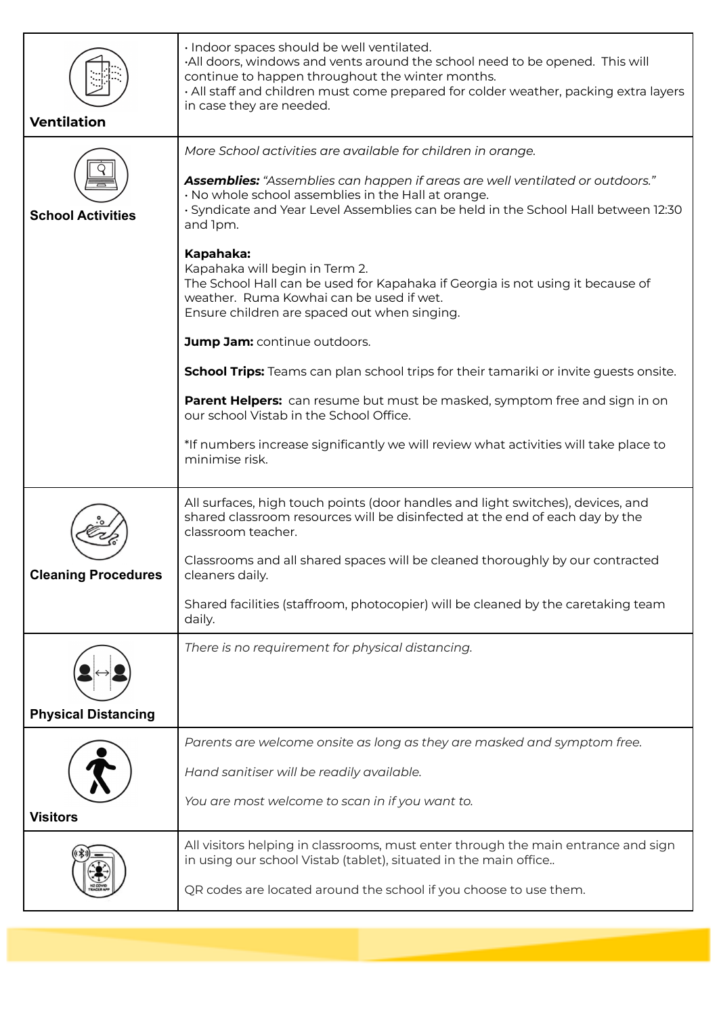| <b>Ventilation</b>         | · Indoor spaces should be well ventilated.<br>All doors, windows and vents around the school need to be opened. This will<br>continue to happen throughout the winter months.<br>. All staff and children must come prepared for colder weather, packing extra layers<br>in case they are needed. |
|----------------------------|---------------------------------------------------------------------------------------------------------------------------------------------------------------------------------------------------------------------------------------------------------------------------------------------------|
|                            | More School activities are available for children in orange.                                                                                                                                                                                                                                      |
| <b>School Activities</b>   | Assemblies: "Assemblies can happen if areas are well ventilated or outdoors."<br>· No whole school assemblies in the Hall at orange.<br>· Syndicate and Year Level Assemblies can be held in the School Hall between 12:30<br>and Ipm.                                                            |
|                            | Kapahaka:<br>Kapahaka will begin in Term 2.<br>The School Hall can be used for Kapahaka if Georgia is not using it because of<br>weather. Ruma Kowhai can be used if wet.<br>Ensure children are spaced out when singing.                                                                         |
|                            | Jump Jam: continue outdoors.                                                                                                                                                                                                                                                                      |
|                            | <b>School Trips:</b> Teams can plan school trips for their tamariki or invite guests onsite.                                                                                                                                                                                                      |
|                            | Parent Helpers: can resume but must be masked, symptom free and sign in on<br>our school Vistab in the School Office.                                                                                                                                                                             |
|                            | *If numbers increase significantly we will review what activities will take place to<br>minimise risk.                                                                                                                                                                                            |
|                            | All surfaces, high touch points (door handles and light switches), devices, and<br>shared classroom resources will be disinfected at the end of each day by the<br>classroom teacher.                                                                                                             |
| <b>Cleaning Procedures</b> | Classrooms and all shared spaces will be cleaned thoroughly by our contracted<br>cleaners daily.                                                                                                                                                                                                  |
|                            | Shared facilities (staffroom, photocopier) will be cleaned by the caretaking team<br>daily.                                                                                                                                                                                                       |
|                            | There is no requirement for physical distancing.                                                                                                                                                                                                                                                  |
| <b>Physical Distancing</b> |                                                                                                                                                                                                                                                                                                   |
| <b>Visitors</b>            | Parents are welcome onsite as long as they are masked and symptom free.<br>Hand sanitiser will be readily available.<br>You are most welcome to scan in if you want to.                                                                                                                           |
|                            | All visitors helping in classrooms, must enter through the main entrance and sign<br>in using our school Vistab (tablet), situated in the main office<br>QR codes are located around the school if you choose to use them.                                                                        |